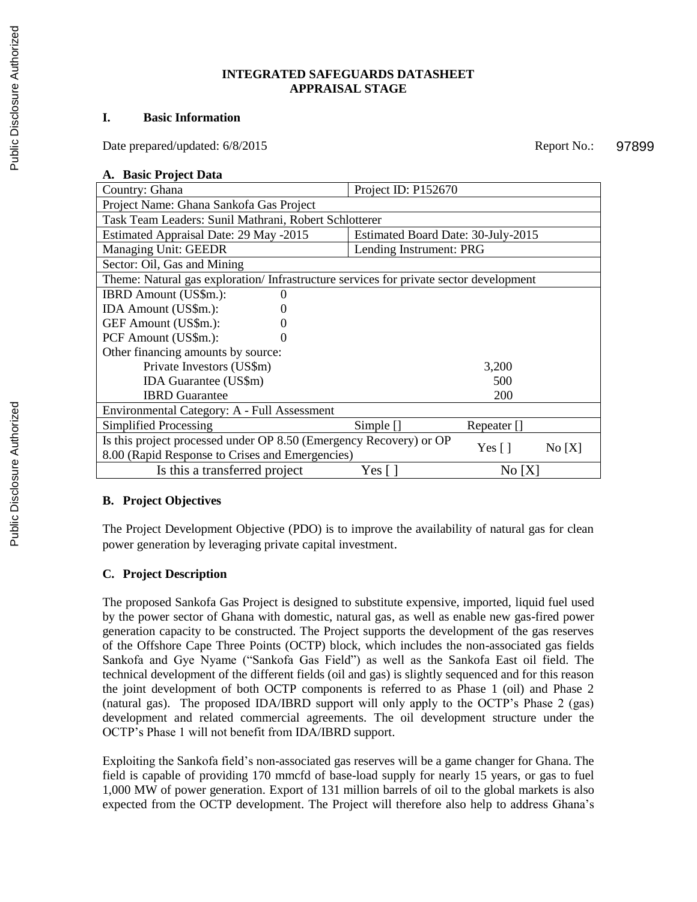#### **INTEGRATED SAFEGUARDS DATASHEET APPRAISAL STAGE**

#### **I. Basic Information**

Date prepared/updated:  $6/8/2015$  Report No.:

#### **A. Basic Project Data**

| Country: Ghana                                                                        | Project ID: P152670                |             |  |
|---------------------------------------------------------------------------------------|------------------------------------|-------------|--|
| Project Name: Ghana Sankofa Gas Project                                               |                                    |             |  |
| Task Team Leaders: Sunil Mathrani, Robert Schlotterer                                 |                                    |             |  |
| Estimated Appraisal Date: 29 May -2015                                                | Estimated Board Date: 30-July-2015 |             |  |
| Managing Unit: GEEDR                                                                  | Lending Instrument: PRG            |             |  |
| Sector: Oil, Gas and Mining                                                           |                                    |             |  |
| Theme: Natural gas exploration/Infrastructure services for private sector development |                                    |             |  |
| IBRD Amount (US\$m.):                                                                 |                                    |             |  |
| IDA Amount (US\$m.):                                                                  |                                    |             |  |
| GEF Amount (US\$m.):                                                                  |                                    |             |  |
| PCF Amount (US\$m.):                                                                  |                                    |             |  |
| Other financing amounts by source:                                                    |                                    |             |  |
| Private Investors (US\$m)                                                             |                                    | 3,200       |  |
| <b>IDA Guarantee (US\$m)</b>                                                          |                                    | 500         |  |
| <b>IBRD</b> Guarantee                                                                 |                                    | 200         |  |
| Environmental Category: A - Full Assessment                                           |                                    |             |  |
| Simplified Processing                                                                 | Simple $\Box$                      | Repeater [] |  |
| Is this project processed under OP 8.50 (Emergency Recovery) or OP                    |                                    |             |  |
| Yes [ ]<br>No[X]<br>8.00 (Rapid Response to Crises and Emergencies)                   |                                    |             |  |
| Is this a transferred project                                                         | Yes [ ]                            | No[X]       |  |

### **B. Project Objectives**

The Project Development Objective (PDO) is to improve the availability of natural gas for clean power generation by leveraging private capital investment.

### **C. Project Description**

The proposed Sankofa Gas Project is designed to substitute expensive, imported, liquid fuel used by the power sector of Ghana with domestic, natural gas, as well as enable new gas-fired power generation capacity to be constructed. The Project supports the development of the gas reserves of the Offshore Cape Three Points (OCTP) block, which includes the non-associated gas fields Sankofa and Gye Nyame ("Sankofa Gas Field") as well as the Sankofa East oil field. The technical development of the different fields (oil and gas) is slightly sequenced and for this reason the joint development of both OCTP components is referred to as Phase 1 (oil) and Phase 2 (natural gas). The proposed IDA/IBRD support will only apply to the OCTP's Phase 2 (gas) development and related commercial agreements. The oil development structure under the OCTP's Phase 1 will not benefit from IDA/IBRD support.

Exploiting the Sankofa field's non-associated gas reserves will be a game changer for Ghana. The field is capable of providing 170 mmcfd of base-load supply for nearly 15 years, or gas to fuel 1,000 MW of power generation. Export of 131 million barrels of oil to the global markets is also expected from the OCTP development. The Project will therefore also help to address Ghana's

97899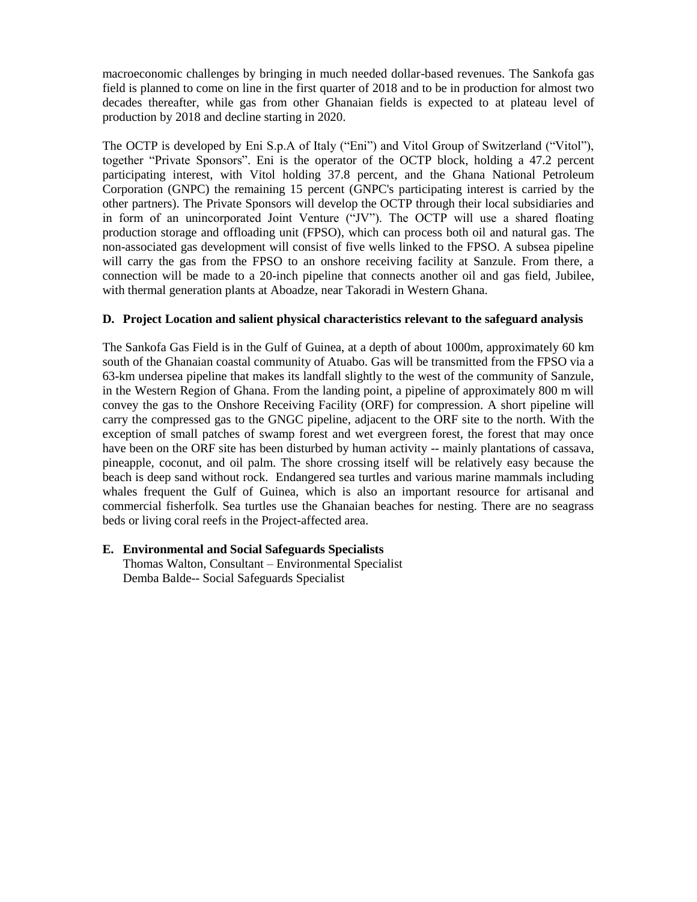macroeconomic challenges by bringing in much needed dollar-based revenues. The Sankofa gas field is planned to come on line in the first quarter of 2018 and to be in production for almost two decades thereafter, while gas from other Ghanaian fields is expected to at plateau level of production by 2018 and decline starting in 2020.

The OCTP is developed by Eni S.p.A of Italy ("Eni") and Vitol Group of Switzerland ("Vitol"), together "Private Sponsors". Eni is the operator of the OCTP block, holding a 47.2 percent participating interest, with Vitol holding 37.8 percent, and the Ghana National Petroleum Corporation (GNPC) the remaining 15 percent (GNPC's participating interest is carried by the other partners). The Private Sponsors will develop the OCTP through their local subsidiaries and in form of an unincorporated Joint Venture ("JV"). The OCTP will use a shared floating production storage and offloading unit (FPSO), which can process both oil and natural gas. The non-associated gas development will consist of five wells linked to the FPSO. A subsea pipeline will carry the gas from the FPSO to an onshore receiving facility at Sanzule. From there, a connection will be made to a 20-inch pipeline that connects another oil and gas field, Jubilee, with thermal generation plants at Aboadze, near Takoradi in Western Ghana.

### **D. Project Location and salient physical characteristics relevant to the safeguard analysis**

The Sankofa Gas Field is in the Gulf of Guinea, at a depth of about 1000m, approximately 60 km south of the Ghanaian coastal community of Atuabo. Gas will be transmitted from the FPSO via a 63-km undersea pipeline that makes its landfall slightly to the west of the community of Sanzule, in the Western Region of Ghana. From the landing point, a pipeline of approximately 800 m will convey the gas to the Onshore Receiving Facility (ORF) for compression. A short pipeline will carry the compressed gas to the GNGC pipeline, adjacent to the ORF site to the north. With the exception of small patches of swamp forest and wet evergreen forest, the forest that may once have been on the ORF site has been disturbed by human activity -- mainly plantations of cassava, pineapple, coconut, and oil palm. The shore crossing itself will be relatively easy because the beach is deep sand without rock. Endangered sea turtles and various marine mammals including whales frequent the Gulf of Guinea, which is also an important resource for artisanal and commercial fisherfolk. Sea turtles use the Ghanaian beaches for nesting. There are no seagrass beds or living coral reefs in the Project-affected area.

### **E. Environmental and Social Safeguards Specialists**

Thomas Walton, Consultant – Environmental Specialist Demba Balde-- Social Safeguards Specialist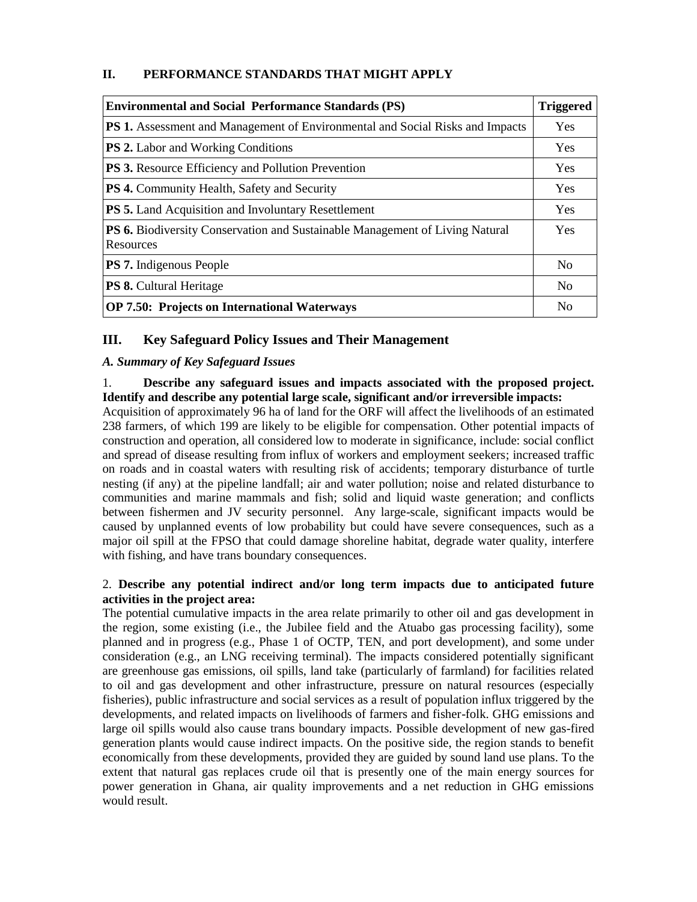# **II. PERFORMANCE STANDARDS THAT MIGHT APPLY**

| <b>Environmental and Social Performance Standards (PS)</b>                                       |                |
|--------------------------------------------------------------------------------------------------|----------------|
| <b>PS 1.</b> Assessment and Management of Environmental and Social Risks and Impacts             | Yes            |
| <b>PS 2.</b> Labor and Working Conditions                                                        | Yes            |
| <b>PS 3.</b> Resource Efficiency and Pollution Prevention                                        | Yes            |
| <b>PS 4.</b> Community Health, Safety and Security                                               | Yes            |
| <b>PS 5.</b> Land Acquisition and Involuntary Resettlement                                       | Yes            |
| <b>PS 6.</b> Biodiversity Conservation and Sustainable Management of Living Natural<br>Resources | Yes            |
| <b>PS 7.</b> Indigenous People                                                                   | N <sub>0</sub> |
| <b>PS 8.</b> Cultural Heritage                                                                   | N <sub>0</sub> |
| <b>OP 7.50: Projects on International Waterways</b>                                              | N <sub>0</sub> |

# **III. Key Safeguard Policy Issues and Their Management**

# *A. Summary of Key Safeguard Issues*

### 1. **Describe any safeguard issues and impacts associated with the proposed project. Identify and describe any potential large scale, significant and/or irreversible impacts:**

Acquisition of approximately 96 ha of land for the ORF will affect the livelihoods of an estimated 238 farmers, of which 199 are likely to be eligible for compensation. Other potential impacts of construction and operation, all considered low to moderate in significance, include: social conflict and spread of disease resulting from influx of workers and employment seekers; increased traffic on roads and in coastal waters with resulting risk of accidents; temporary disturbance of turtle nesting (if any) at the pipeline landfall; air and water pollution; noise and related disturbance to communities and marine mammals and fish; solid and liquid waste generation; and conflicts between fishermen and JV security personnel. Any large-scale, significant impacts would be caused by unplanned events of low probability but could have severe consequences, such as a major oil spill at the FPSO that could damage shoreline habitat, degrade water quality, interfere with fishing, and have trans boundary consequences.

# 2. **Describe any potential indirect and/or long term impacts due to anticipated future activities in the project area:**

The potential cumulative impacts in the area relate primarily to other oil and gas development in the region, some existing (i.e., the Jubilee field and the Atuabo gas processing facility), some planned and in progress (e.g., Phase 1 of OCTP, TEN, and port development), and some under consideration (e.g., an LNG receiving terminal). The impacts considered potentially significant are greenhouse gas emissions, oil spills, land take (particularly of farmland) for facilities related to oil and gas development and other infrastructure, pressure on natural resources (especially fisheries), public infrastructure and social services as a result of population influx triggered by the developments, and related impacts on livelihoods of farmers and fisher-folk. GHG emissions and large oil spills would also cause trans boundary impacts. Possible development of new gas-fired generation plants would cause indirect impacts. On the positive side, the region stands to benefit economically from these developments, provided they are guided by sound land use plans. To the extent that natural gas replaces crude oil that is presently one of the main energy sources for power generation in Ghana, air quality improvements and a net reduction in GHG emissions would result.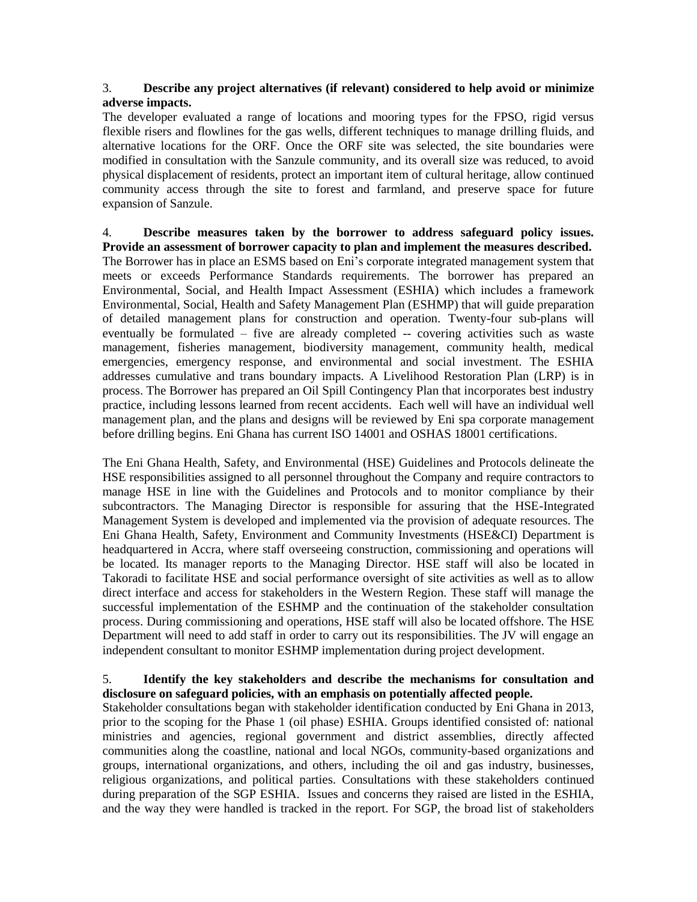# 3. **Describe any project alternatives (if relevant) considered to help avoid or minimize adverse impacts.**

The developer evaluated a range of locations and mooring types for the FPSO, rigid versus flexible risers and flowlines for the gas wells, different techniques to manage drilling fluids, and alternative locations for the ORF. Once the ORF site was selected, the site boundaries were modified in consultation with the Sanzule community, and its overall size was reduced, to avoid physical displacement of residents, protect an important item of cultural heritage, allow continued community access through the site to forest and farmland, and preserve space for future expansion of Sanzule.

4. **Describe measures taken by the borrower to address safeguard policy issues. Provide an assessment of borrower capacity to plan and implement the measures described.** The Borrower has in place an ESMS based on Eni's corporate integrated management system that meets or exceeds Performance Standards requirements. The borrower has prepared an Environmental, Social, and Health Impact Assessment (ESHIA) which includes a framework Environmental, Social, Health and Safety Management Plan (ESHMP) that will guide preparation of detailed management plans for construction and operation. Twenty-four sub-plans will eventually be formulated – five are already completed -- covering activities such as waste management, fisheries management, biodiversity management, community health, medical emergencies, emergency response, and environmental and social investment. The ESHIA addresses cumulative and trans boundary impacts. A Livelihood Restoration Plan (LRP) is in process. The Borrower has prepared an Oil Spill Contingency Plan that incorporates best industry practice, including lessons learned from recent accidents. Each well will have an individual well management plan, and the plans and designs will be reviewed by Eni spa corporate management before drilling begins. Eni Ghana has current ISO 14001 and OSHAS 18001 certifications.

The Eni Ghana Health, Safety, and Environmental (HSE) Guidelines and Protocols delineate the HSE responsibilities assigned to all personnel throughout the Company and require contractors to manage HSE in line with the Guidelines and Protocols and to monitor compliance by their subcontractors. The Managing Director is responsible for assuring that the HSE-Integrated Management System is developed and implemented via the provision of adequate resources. The Eni Ghana Health, Safety, Environment and Community Investments (HSE&CI) Department is headquartered in Accra, where staff overseeing construction, commissioning and operations will be located. Its manager reports to the Managing Director. HSE staff will also be located in Takoradi to facilitate HSE and social performance oversight of site activities as well as to allow direct interface and access for stakeholders in the Western Region. These staff will manage the successful implementation of the ESHMP and the continuation of the stakeholder consultation process. During commissioning and operations, HSE staff will also be located offshore. The HSE Department will need to add staff in order to carry out its responsibilities. The JV will engage an independent consultant to monitor ESHMP implementation during project development.

# 5. **Identify the key stakeholders and describe the mechanisms for consultation and disclosure on safeguard policies, with an emphasis on potentially affected people.**

Stakeholder consultations began with stakeholder identification conducted by Eni Ghana in 2013, prior to the scoping for the Phase 1 (oil phase) ESHIA. Groups identified consisted of: national ministries and agencies, regional government and district assemblies, directly affected communities along the coastline, national and local NGOs, community-based organizations and groups, international organizations, and others, including the oil and gas industry, businesses, religious organizations, and political parties. Consultations with these stakeholders continued during preparation of the SGP ESHIA. Issues and concerns they raised are listed in the ESHIA, and the way they were handled is tracked in the report. For SGP, the broad list of stakeholders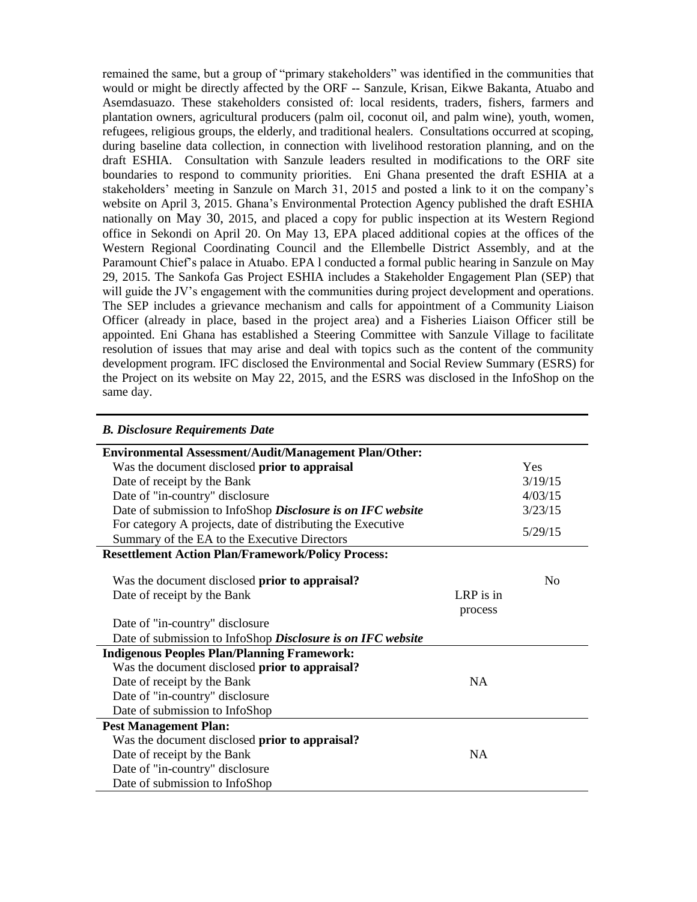remained the same, but a group of "primary stakeholders" was identified in the communities that would or might be directly affected by the ORF -- Sanzule, Krisan, Eikwe Bakanta, Atuabo and Asemdasuazo. These stakeholders consisted of: local residents, traders, fishers, farmers and plantation owners, agricultural producers (palm oil, coconut oil, and palm wine), youth, women, refugees, religious groups, the elderly, and traditional healers. Consultations occurred at scoping, during baseline data collection, in connection with livelihood restoration planning, and on the draft ESHIA. Consultation with Sanzule leaders resulted in modifications to the ORF site boundaries to respond to community priorities. Eni Ghana presented the draft ESHIA at a stakeholders' meeting in Sanzule on March 31, 2015 and posted a link to it on the company's website on April 3, 2015. Ghana's Environmental Protection Agency published the draft ESHIA nationally on May 30, 2015, and placed a copy for public inspection at its Western Regiond office in Sekondi on April 20. On May 13, EPA placed additional copies at the offices of the Western Regional Coordinating Council and the Ellembelle District Assembly, and at the Paramount Chief's palace in Atuabo. EPA l conducted a formal public hearing in Sanzule on May 29, 2015. The Sankofa Gas Project ESHIA includes a Stakeholder Engagement Plan (SEP) that will guide the JV's engagement with the communities during project development and operations. The SEP includes a grievance mechanism and calls for appointment of a Community Liaison Officer (already in place, based in the project area) and a Fisheries Liaison Officer still be appointed. Eni Ghana has established a Steering Committee with Sanzule Village to facilitate resolution of issues that may arise and deal with topics such as the content of the community development program. IFC disclosed the Environmental and Social Review Summary (ESRS) for the Project on its website on May 22, 2015, and the ESRS was disclosed in the InfoShop on the same day.

| <b>B. Disclosure Requirements Date</b>                      |           |            |
|-------------------------------------------------------------|-----------|------------|
| Environmental Assessment/Audit/Management Plan/Other:       |           |            |
| Was the document disclosed prior to appraisal               |           | <b>Yes</b> |
| Date of receipt by the Bank                                 |           | 3/19/15    |
| Date of "in-country" disclosure                             |           | 4/03/15    |
| Date of submission to InfoShop Disclosure is on IFC website |           | 3/23/15    |
| For category A projects, date of distributing the Executive |           | 5/29/15    |
| Summary of the EA to the Executive Directors                |           |            |
| <b>Resettlement Action Plan/Framework/Policy Process:</b>   |           |            |
|                                                             |           |            |
| Was the document disclosed prior to appraisal?              |           | No         |
| Date of receipt by the Bank                                 | LRP is in |            |
|                                                             | process   |            |
| Date of "in-country" disclosure                             |           |            |
| Date of submission to InfoShop Disclosure is on IFC website |           |            |
| <b>Indigenous Peoples Plan/Planning Framework:</b>          |           |            |
| Was the document disclosed prior to appraisal?              |           |            |
| Date of receipt by the Bank                                 | <b>NA</b> |            |
| Date of "in-country" disclosure                             |           |            |
| Date of submission to InfoShop                              |           |            |
| <b>Pest Management Plan:</b>                                |           |            |
| Was the document disclosed prior to appraisal?              |           |            |
| Date of receipt by the Bank                                 | <b>NA</b> |            |
| Date of "in-country" disclosure                             |           |            |
| Date of submission to InfoShop                              |           |            |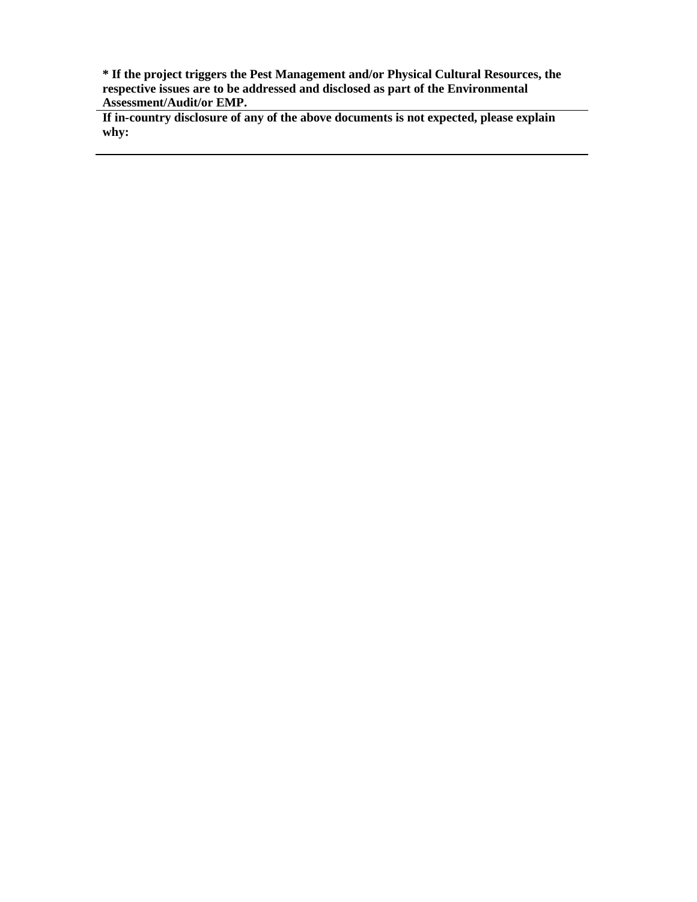**\* If the project triggers the Pest Management and/or Physical Cultural Resources, the respective issues are to be addressed and disclosed as part of the Environmental Assessment/Audit/or EMP.**

**If in-country disclosure of any of the above documents is not expected, please explain why:**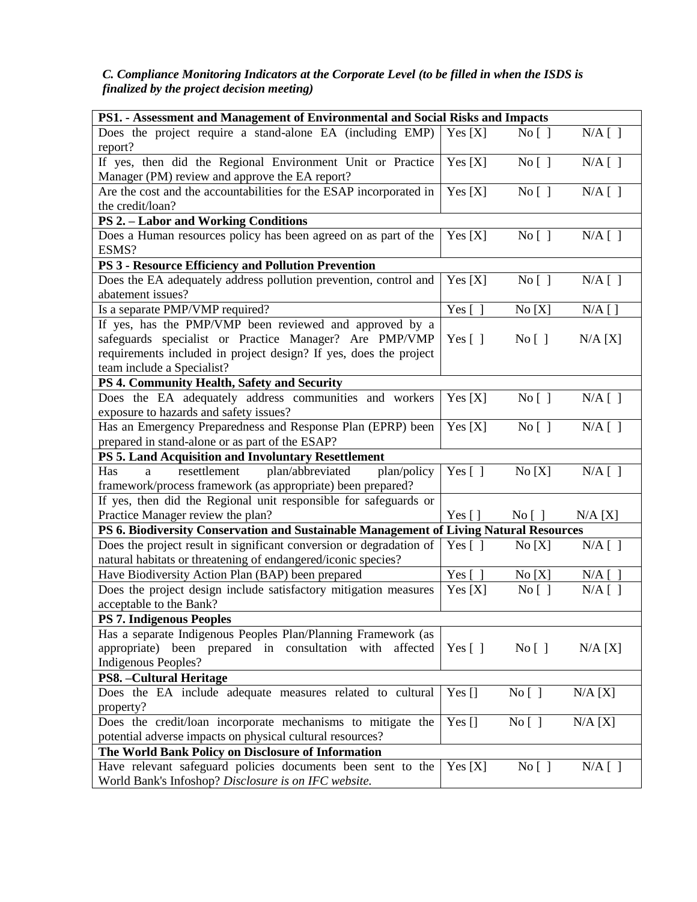# *C. Compliance Monitoring Indicators at the Corporate Level (to be filled in when the ISDS is finalized by the project decision meeting)*

| PS1. - Assessment and Management of Environmental and Social Risks and Impacts                                                       |                     |                                   |           |
|--------------------------------------------------------------------------------------------------------------------------------------|---------------------|-----------------------------------|-----------|
| Does the project require a stand-alone EA (including EMP)                                                                            | Yes[X]              | No [ ]                            | $N/A$ [ ] |
| report?                                                                                                                              |                     |                                   |           |
| If yes, then did the Regional Environment Unit or Practice                                                                           | Yes[X]              | No [ ]                            | $N/A$ [ ] |
| Manager (PM) review and approve the EA report?                                                                                       |                     |                                   |           |
| Are the cost and the accountabilities for the ESAP incorporated in                                                                   | Yes $[X]$           | No [ ]                            | $N/A$ [ ] |
| the credit/loan?                                                                                                                     |                     |                                   |           |
| <b>PS 2. - Labor and Working Conditions</b>                                                                                          |                     |                                   |           |
| Does a Human resources policy has been agreed on as part of the<br>ESMS?                                                             | Yes[X]              | No [ ]                            | $N/A$ [ ] |
| PS 3 - Resource Efficiency and Pollution Prevention                                                                                  |                     |                                   |           |
| Does the EA adequately address pollution prevention, control and<br>abatement issues?                                                | Yes[X]              | No [ ]                            | $N/A$ [ ] |
| Is a separate PMP/VMP required?                                                                                                      | Yes $[$ ]           | No[X]                             | $N/A$ [ ] |
| If yes, has the PMP/VMP been reviewed and approved by a                                                                              |                     |                                   |           |
| safeguards specialist or Practice Manager? Are PMP/VMP                                                                               | Yes $[ \ ]$         | No [ ]                            | N/A [X]   |
| requirements included in project design? If yes, does the project                                                                    |                     |                                   |           |
| team include a Specialist?                                                                                                           |                     |                                   |           |
| PS 4. Community Health, Safety and Security                                                                                          |                     |                                   |           |
| Does the EA adequately address communities and workers<br>exposure to hazards and safety issues?                                     | Yes [X]             | No [ ]                            | $N/A$ [ ] |
| Has an Emergency Preparedness and Response Plan (EPRP) been                                                                          | Yes $[X]$           | No [ ]                            | $N/A$ [ ] |
| prepared in stand-alone or as part of the ESAP?                                                                                      |                     |                                   |           |
| PS 5. Land Acquisition and Involuntary Resettlement                                                                                  |                     |                                   |           |
| plan/abbreviated<br>resettlement<br>plan/policy<br>Has<br>a                                                                          | Yes $[$ ]           | No[X]                             | $N/A$ [ ] |
| framework/process framework (as appropriate) been prepared?                                                                          |                     |                                   |           |
| If yes, then did the Regional unit responsible for safeguards or                                                                     |                     |                                   |           |
| Practice Manager review the plan?                                                                                                    | Yes $\lceil \rceil$ | $\overline{N_0}$   $\overline{)}$ | N/A [X]   |
| PS 6. Biodiversity Conservation and Sustainable Management of Living Natural Resources                                               |                     |                                   |           |
| Does the project result in significant conversion or degradation of<br>natural habitats or threatening of endangered/iconic species? | Yes $[ \ ]$         | No[X]                             | $N/A$ [ ] |
| Have Biodiversity Action Plan (BAP) been prepared                                                                                    | Yes [               | No[X]                             | $N/A$ [   |
| Does the project design include satisfactory mitigation measures                                                                     | Yes[X]              | No [ ]                            | $N/A$ [ ] |
| acceptable to the Bank?                                                                                                              |                     |                                   |           |
| <b>PS 7. Indigenous Peoples</b>                                                                                                      |                     |                                   |           |
| Has a separate Indigenous Peoples Plan/Planning Framework (as                                                                        |                     |                                   |           |
| appropriate) been prepared in consultation<br>affected<br>with                                                                       | Yes $[ \ ]$         | No [ ]                            | N/A [X]   |
| Indigenous Peoples?                                                                                                                  |                     |                                   |           |
| <b>PS8.</b> - Cultural Heritage                                                                                                      |                     |                                   |           |
| Does the EA include adequate measures related to cultural                                                                            | Yes $[]$            | No [ ]                            | N/A [X]   |
| property?                                                                                                                            |                     |                                   |           |
| Does the credit/loan incorporate mechanisms to mitigate the                                                                          | Yes $[]$            | $\overline{N}$ o $[$ ]            | N/A [X]   |
| potential adverse impacts on physical cultural resources?                                                                            |                     |                                   |           |
| The World Bank Policy on Disclosure of Information                                                                                   |                     |                                   |           |
| Have relevant safeguard policies documents been sent to the                                                                          | Yes[X]              | No [ ]                            | $N/A$ [ ] |
| World Bank's Infoshop? Disclosure is on IFC website.                                                                                 |                     |                                   |           |